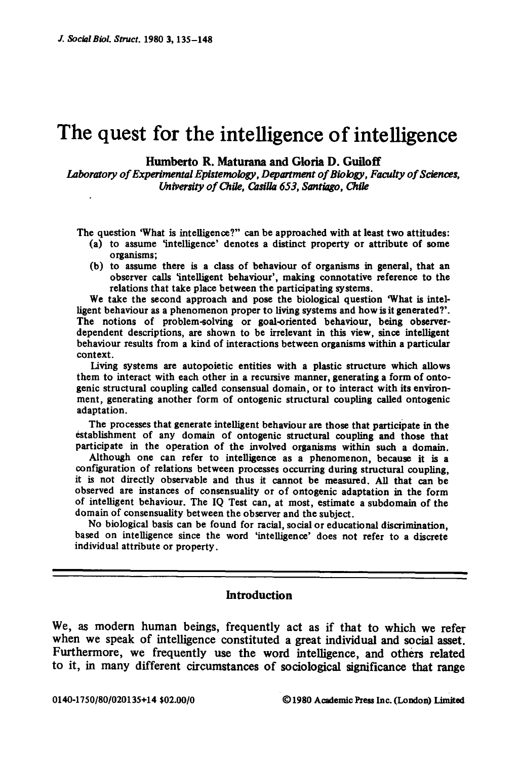# **The quest for the intelligence of intelligence**

## Humberto R. Maturana and **Gloria D. Guiloff**

*Laboratory of Experimental Epistemology, Department of Biology, Faculty of Sciences, University of Chile, Casilla 653, Santiago, Chile* 

The question 'What is intelligence?" can be approached with at least two attitudes:

- (a) to assume 'intelligence' denotes a distinct property or attribute of some organisms;
- (b) to assume there is a class of behaviour of organisms in general, that an observer calls 'intelligent behaviour', making connotative reference to the relations that take place between the participating systems.

We take the second approach and pose the biological question 'What is intelligent behaviour as a phenomenon proper to living systems and how is it generated?'. The notions of problem-solving or goal-oriented behaviour, being observerdependent descriptions, are shown to be irrelevant in this view, since intelligent behaviour results from a kind of interactions between organisms within a particular context.

Living systems are autopoietic entities with a plastic structure which allows them to interact with each other in a recursive manner, generating a form of ontogenic structural coupling called consensual domain, or to interact with its environment, generating another form of ontogenic structural coupling called ontogenic adaptation.

The processes that generate intelligent behaviour are those that participate in the establishment of any domain of ontogenic structural coupling and those that participate in the operation of the involved organisms within such a domain.

Although one can refer to intelligence as a phenomenon, because it is a configuration of relations between processes occurring during structural coupling, it is not directly observable and thus it cannot be measured. All that can be observed are instances of consensuality or of ontogenic adaptation in the form of intelligent behaviour. The IQ Test can, at most, estimate a subdomain of the domain of consensuality between the observer and the subject.

No biological basis can be found for racial, social or educational discrimination, based on intelligence since the word 'intelligence' does not refer to a discrete individual attribute or property.

# **Introduction**

**We, as modern human beings, frequently act as if that to which we refer when we speak of intelligence constituted a great individual and social asset. Furthermore, we frequently use the word intelligence, and others related to it, in many different circumstances of sociological significance that range**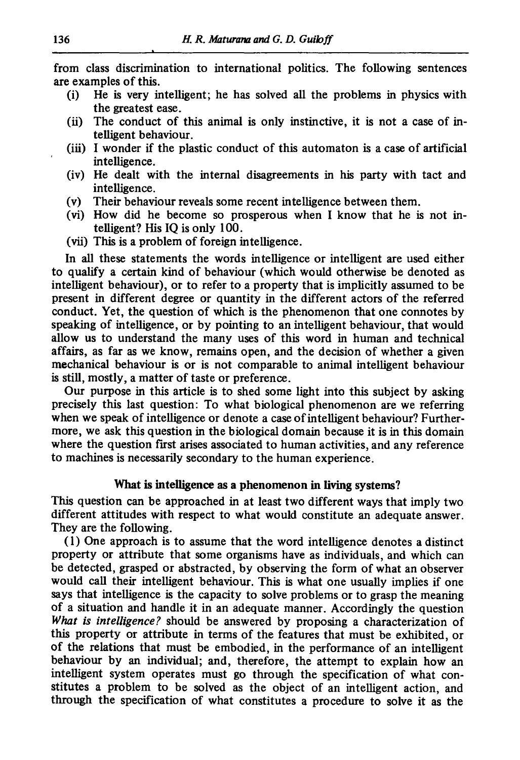from class discrimination to international politics. The following sentences are examples of this.

- (i) He is very intelligent; he has solved all the problems in physics with the greatest ease.
- (ii) The conduct of this animal is only instinctive, it is not a case of intelligent behaviour.
- (iii) I wonder if the plastic conduct of this automaton is a case of artificial intelligence.
- (iv) He dealt with the internal disagreements in his party with tact and intelligence.
- (v) Their behaviour reveals some recent intelligence between them.
- (vi) How did he become so prosperous when I know that he is not intelligent? His IQ is only 100.
- (vii) This is a problem of foreign intelligence.

In all these statements the words intelligence or intelligent are used either to qualify a certain kind of behaviour (which would otherwise be denoted as intelligent behaviour), or to refer to a property that is implicitly assumed to be present in different degree or quantity in the different actors of the referred conduct. Yet, the question of which is the phenomenon that one connotes by speaking of intelligence, or by pointing to an intelligent behaviour, that would allow us to understand the many uses of this word in human and technical affairs, as far as we know, remains open, and the decision of whether a given mechanical behaviour is or is not comparable to animal intelligent behaviour is still, mostly, a matter of taste or preference.

Our purpose in this article is to shed some light into this subject by asking precisely this last question: To what biological phenomenon are we referring when we speak of intelligence or denote a case of intelligent behaviour? Furthermore, we ask this question in the biological domain because it is in this domain where the question first arises associated to human activities, and any reference to machines is necessarily secondary to the human experience.

# What is intelligence as a phenomenon in living systems?

This question can be approached in at least two different ways that imply two different attitudes with respect to what would constitute an adequate answer. They are the following.

(1) One approach is to assume that the word intelligence denotes a distinct property or attribute that some organisms have as individuals, and which can be detected, grasped or abstracted, by observing the form of what an observer would call their intelligent behaviour. This is what one usually implies if one says that intelligence is the capacity to solve problems or to grasp the meaning of a situation and handle it in an adequate manner. Accordingly the question *What is intelligence?* should be answered by proposing a characterization of this property or attribute in terms of the features that must be exhibited, or of the relations that must be embodied, in the performance of an intelligent behaviour by an individual; and, therefore, the attempt to explain how an intelligent system operates must go through the specification of what constitutes a problem to be solved as the object of an intelligent action, and through the specification of what constitutes a procedure to solve it as the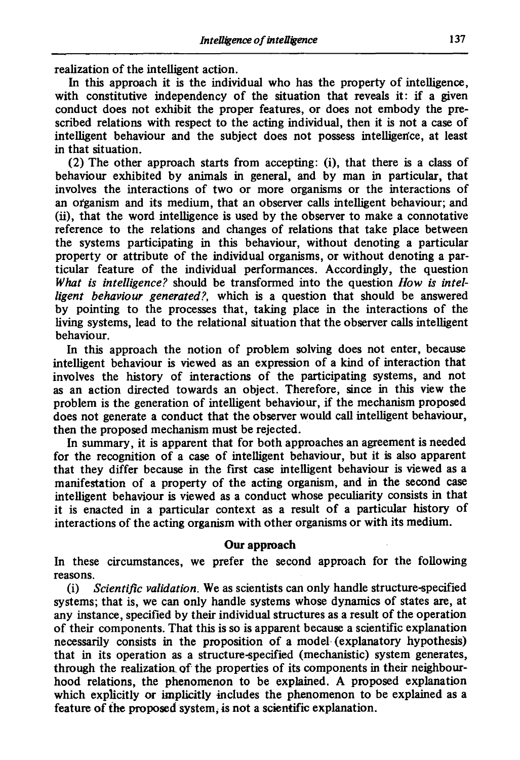realization of the intelligent action.

In this approach it is the individual who has the property of intelligence, with constitutive independency of the situation that reveals it: if a given conduct does not exhibit the proper features, or does not embody the prescribed relations with respect to the acting individual, then it is not a case of intelligent behaviour and the subject does not possess intelligen'ce, at least in that situation.

(2) The other approach starts from accepting: (i), that there is a class of behaviour exhibited by animals in general, and by man in particular, that involves the interactions of two or more organisms or the interactions of an organism and its medium, that an observer calls intelligent behaviour; and (ii), that the word intelligence is used by the observer to make a connotative reference to the relations and changes of relations that take place between the systems participating in this behaviour, without denoting a particular property or attribute of the individual organisms, or without denoting a particular feature of the individual performances. Accordingly, the question What is intelligence? should be transformed into the question *How* is intel*ligent behaviour generated?,* which is a question that should be answered by pointing to the processes that, taking place in the interactions of the living systems, lead to the relational situation that the observer calls intelligent behaviour.

In this approach the notion of problem solving does not enter, because intelligent behaviour is viewed as an expression of a kind of interaction that involves the history of interactions of the participating systems, and not as an action directed towards an object. Therefore, since in this view the problem is the generation of intelligent behaviour, if the mechanism proposed does not generate a conduct that the observer would call intelligent behaviour, then the proposed mechanism must be rejected.

In summary, it is apparent that for both approaches an agreement is needed for the recognition of a case of intelligent behaviour, but it is also apparent that they differ because in the first case intelligent behaviour is viewed as a manifestation of a property of the acting organism, and in the second case intelligent behaviour is viewed as a conduct whose peculiarity consists in that it is enacted in a particular context as a result of a particular history of interactions of the acting organism with other organisms or with its medium.

# Our **approach**

In these circumstances, we prefer the second approach for the following reasons.

(i) *Scientific validation.* We as scientists can only handle structure-specified systems; that is, we can only handle systems whose dynamics of states are, at any instance, specified by their individual structures as a result of the operation of their components. That this is so is apparent because a scientific explanation necessarily consists in the proposition of a model (explanatory hypothesis) that in its operation as a structure-specified (mechanistic) system generates, through the realization of the properties of its components in their neighbourhood relations, the phenomenon to be explained. A proposed explanation which explicitly or implicitly includes the phenomenon to be explained as a feature of the proposed system, is not a scientific explanation.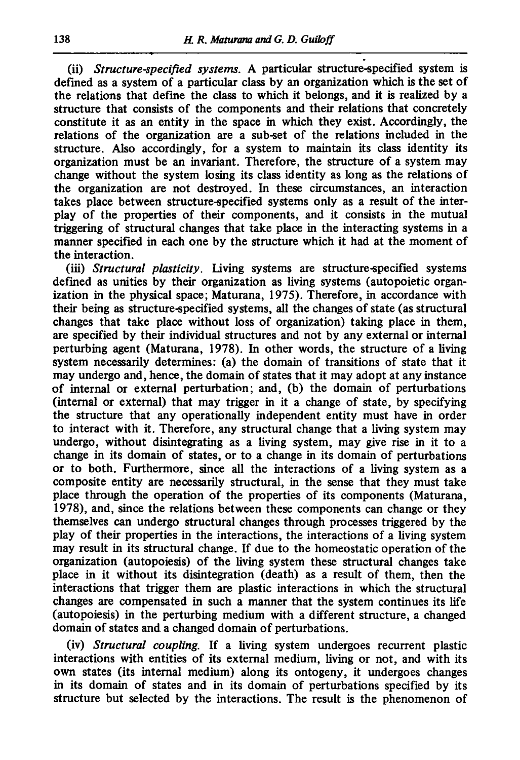(ii) *Structure-specified systems.* A particular structure-specified system is defined as a system of a particular class by an organization which is the set of the relations that define the class to which it belongs, and it is realized by a structure that consists of the components and their relations that concretely constitute it as an entity in the space in which they exist. Accordingly, the relations of the organization are a sub-set of the relations included in the structure. Also accordingly, for a system to maintain its class identity its organization must be an invariant. Therefore, the structure of a system may change without the system losing its class identity as long as the relations of the organization are not destroyed. In these circumstances, an interaction takes place between structure-specified systems only as a result of the interplay of the properties of their components, and it consists in the mutual triggering of structural changes that take place in the interacting systems in a manner specified in each one by the structure which it had at the moment of the interaction.

*(iii) Structural plasticity.* Living systems are structure-specified systems defined as unities by their organization as living systems (autopoietic organization in the physical space; Maturana, 1975). Therefore, in accordance with their being as structure-specified systems, all the changes of state (as structural changes that take place without loss of organization) taking place in them, are specified by their individual structures and not by any external or internal perturbing agent (Maturana, 1978). In other words, the structure of a living system necessarily determines: (a) the domain of transitions of state that it may undergo and, hence, the domain of states that it may adopt at any instance of internal or external perturbation; and, (b) the domain of perturbations (internal or external) that may trigger in it a change of state, by specifying the structure that any operationally independent entity must have in order to interact with it. Therefore, any structural change that a living system may undergo, without disintegrating as a living system, may give rise in it to a change in its domain of states, or to a change in its domain of perturbations or to both. Furthermore, since all the interactions of a living system as a composite entity are necessarily structural, in the sense that they must take place through the operation of the properties of its components (Maturana, 1978), and, since the relations between these components can change or they themselves can undergo structural changes through processes triggered by the play of their properties in the interactions, the interactions of a living system may result in its structural change. If due to the homeostatic operation of the organization (autopoiesis) of the living system these structural changes take place in it without its disintegration (death) as a result of them, then the interactions that trigger them are plastic interactions in which the structural changes are compensated in such a manner that the system continues its life (autopoiesis) in the perturbing medium with a different structure, a changed domain of states and a changed domain of perturbations.

(iv) *Structural coupling.* If a living system undergoes recurrent plastic interactions with entities of its external medium, living or not, and with its own states (its internal medium) along its ontogeny, it undergoes changes in its domain of states and in its domain of perturbations specified by its structure but selected by the interactions. The result is the phenomenon of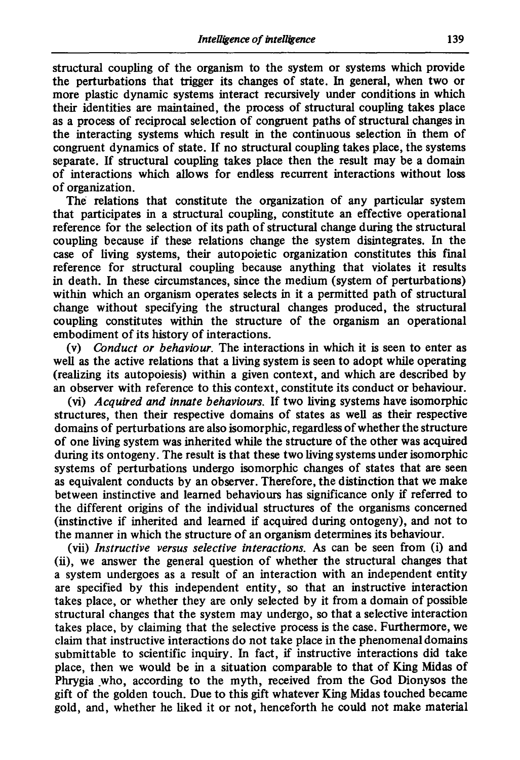structural coupling of the organism to the system or systems which provide the perturbations that trigger its changes of state. In general, when two or more plastic dynamic systems interact recursively under conditions in which their identities are maintained, the process of structural coupling takes place as a process of reciprocal selection of congruent paths of structural changes in the interacting systems which result in the continuous selection in them of congruent dynamics of state. If no structural coupling takes place, the systems separate. If structural coupling takes place then the result may be a domain of interactions which allows for endless recurrent interactions without loss of organization.

The relations that constitute the organization of any particular system that participates in a structural coupling, constitute an effective operational reference for the selection of its path of structural change during the structural coupling because if these relations change the system disintegrates. In the case of living systems, their autopoietic organization constitutes this final reference for structural coupling because anything that violates it results in death. In these circumstances, since the medium (system of perturbations) within which an organism operates selects in it a permitted path of structural change without specifying the structural changes produced, the structural coupling constitutes within the structure of the organism an operational embodiment of its history of interactions.

(v) *Conduct or behaviour.* The interactions in which it is seen to enter as well as the active relations that a living system is seen to adopt while operating (realizing its autopoiesis) within a given context, and which are described by an observer with reference to this context, constitute its conduct or behaviour.

*(vi) Acquired and innate behaviours.* If two living systems have isomorphic structures, then their respective domains of states as well as their respective domains of perturbations are also isomorphic, regardless of whether the structure of one living system was inherited while the structure of the other was acquired during its ontogeny. The result is that these two living systems under isomorphic systems of perturbations undergo isomorphic changes of states that are seen as equivalent conducts by an observer. Therefore, the distinction that we make between instinctive and learned behaviours has significance only if referred to the different origins of the individual structures of the organisms concerned (instinctive if inherited and learned if acquired during ontogeny), and not to the manner in which the structure of an organism determines its behaviour.

*(vii) Instructive versus selective interactions.* As can be seen from (i) and (ii), we answer the general question of whether the structural changes that a system undergoes as a result of an interaction with an independent entity are specified by this independent entity, so that an instructive interaction takes place, or whether they are only selected by it from a domain of possible structural changes that the system may undergo, so that a selective interaction takes place, by claiming that the selective process is the case. Furthermore, we claim that instructive interactions do not take place in the phenomenal domains submittable to scientific inquiry. In fact, if instructive interactions did take place, then we would be in a situation comparable to that of King Midas of Phrygia .who, according to the myth, received from the God Dionysos the gift of the golden touch. Due to this gift whatever King Midas touched became gold, and, whether he liked it or not, henceforth he could not make material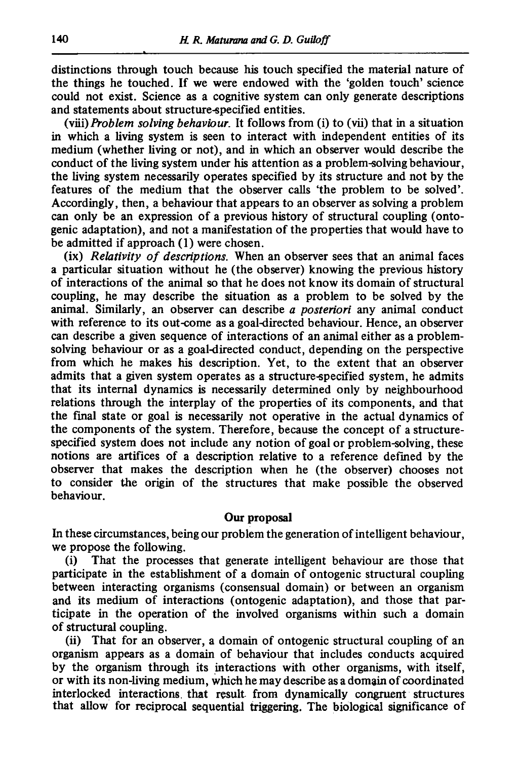distinctions through touch because his touch specified the material nature of the things he touched. If we were endowed with the 'golden touch' science could not exist. Science as a cognitive system can only generate descriptions and statements about structure-specified entities.

*(viii)Problem solving behaviour.* It follows from (i) to (vii) that in a situation in which a living system is seen to interact with independent entities of its medium (whether living or not), and in which an observer would describe the conduct of the living system under his attention as a problem-solving behaviour, the living system necessarily operates specified by its structure and not by the features of the medium that the observer calls 'the problem to be solved'. Accordingly, then, a behaviour that appears to an observer as solving a problem can only be an expression of a previous history of structural coupling (ontogenie adaptation), and not a manifestation of the properties that would have to be admitted if approach (1) were chosen.

(ix) *Relativity of descriptions.* When an observer sees that an animal faces a particular situation without he (the observer) knowing the previous history of interactions of the animal so that he does not know its domain of structural coupling, he may describe the situation as a problem to be solved by the animal. Similarly, an observer can describe *a posteriori* any animal conduct with reference to its out-come as a goal-directed behaviour. Hence, an observer can describe a given sequence of interactions of an animal either as a problemsolving behaviour or as a goal-directed conduct, depending on the perspective from which he makes his description. Yet, to the extent that an observer admits that a given system operates as a structure-specified system, he admits that its internal dynamics is necessarily determined only by neighbourhood relations through the interplay of the properties of its components, and that the final state or goal is necessarily not operative in the actual dynamics of the components of the system. Therefore, because the concept of a structurespecified system does not include any notion of goal or problem-solving, these notions are artifices of a description relative to a reference defined by the observer that makes the description when he (the observer) chooses not to consider the origin of the structures that make possible the observed behaviour.

#### Our proposal

In these circumstances, being our problem the generation of intelligent behaviour, we propose the following.

(i) That the processes that generate intelligent behaviour are those that participate in the establishment of a domain of ontogenic structural coupling between interacting organisms (eonsensual domain) or between an organism and its medium of interactions (ontogenic adaptation), and those that participate in the operation of the involved organisms within such a domain of structural coupling.

(ii) That for an observer, a domain of ontogenic structural coupling of an organism appears as a domain of behaviour that includes conducts acquired by the organism through its interactions with other organisms, with itself, or with its non-living medium, Which he may describe as a domain of coordinated interlocked interactions, that result- from dynamically congruent structures that allow for reciprocal sequential triggering. The biological significance of

*|*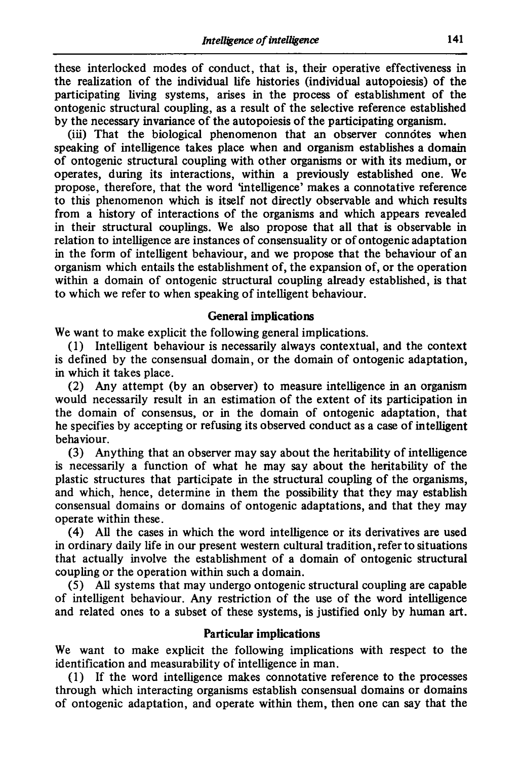these interlocked modes of conduct, that is, their operative effectiveness in the realization of the individual life histories (individual autopoiesis) of the participating living systems, arises in the process of establishment of the ontogenic structural coupling, as a result of the selective reference established by the necessary invariance of the autopoiesis of the participating organism.

(iii) That the biological phenomenon that an observer connotes when speaking of intelligence takes place when and organism establishes a domain of ontogenic structural coupling with other organisms or with its medium, or operates, during its interactions, within a previously established one. We propose, therefore, that the word 'intelligence' makes a connotative reference to this phenomenon which is itself not directly observable and which results from a history of interactions of the organisms and which appears revealed in their structural couplings. We also propose that all that is observable in relation to intelligence are instances of consensuality or of ontogenic adaptation in the form of intelligent behaviour, and we propose that the behaviour of an organism which entails the establishment of, the expansion of, or the operation within a domain of ontogenic structural coupling already established, is that to which we refer to when speaking of intelligent behaviour.

# **General implications**

We want to make explicit the following general implications.

(1) Intelligent behaviour is necessarily always contextual, and the context is defined by the consensual domain, or the domain of ontogenic adaptation, in which it takes place.

(2) Any attempt (by an observer) to measure intelligence in an organism would necessarily result in an estimation of the extent of its participation in the domain of consensus, or in the domain of ontogenic adaptation, that he specifies by accepting or refusing its observed conduct as a case of intelligent behaviour.

(3) Anything that an observer may say about the heritability of intelligence is necessarily a function of what he may say about the heritability of the plastic structures that participate in the structural coupling of the organisms, and which, hence, determine in them the possibility that they may establish consensual domains or domains of ontogenic adaptations, and that they may operate within these.

(4) All the cases in which the word intelligence or its derivatives are used in ordinary daily life in our present western cultural tradition, refer to situations that actually involve the establishment of a domain of ontogenic structural coupling or the operation within such a domain.

(5) All systems that may undergo ontogenic structural coupling are capable of intelligent behaviour. Any restriction of the use of the word intelligence and related ones to a subset of these systems, is justified only by human art.

# **Particular implications**

We want to make explicit the following implications with respect to the identification and measurability of intelligence in man.

(1) If the word intelligence makes connotative reference to the processes through which interacting organisms establish consensual domains or domains of ontogenic adaptation, and operate within them, then one can say that the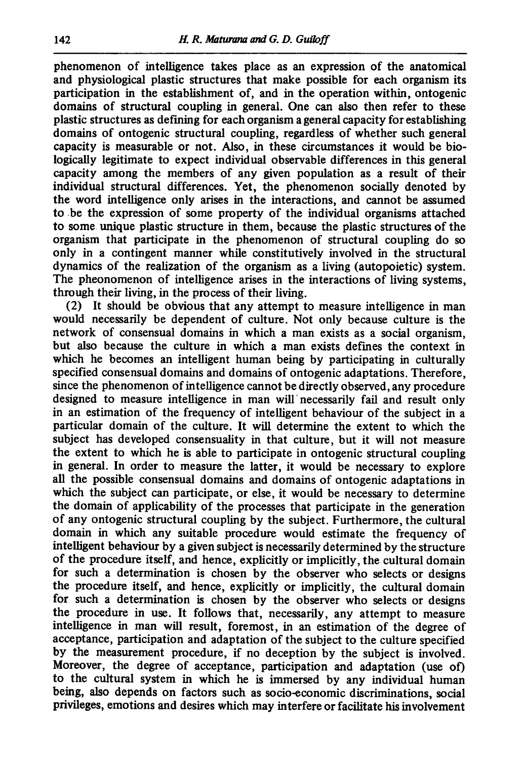phenomenon of intelligence takes place as an expression of the anatomical and physiological plastic structures that make possible for each organism its participation in the establishment of, and in the operation within, ontogenic domains of structural coupling in general. One can also then refer to these plastic structures as defining for each organism a general capacity for establishing domains of ontogenic structural coupling, regardless of whether such general capacity is measurable or not. Also, in these circumstances it would be biologically legitimate to expect individual observable differences in this general capacity among the members of any given population as a result of their individual structural differences. Yet, the phenomenon socially denoted by the word intelligence only arises in the interactions, and cannot be assumed to be the expression of some property of the individual organisms attached to some unique plastic structure in them, because the plastic structures of the organism that participate in the phenomenon of structural coupling do so only in a contingent manner while constitutively involved in the structural dynamics of the realization of the organism as a living (autopoietic) system. The pheonomenon of intelligence arises in the interactions of living systems, through their living, in the process of their living.

(2) It should be obvious that any attempt to measure intelligence in man would necessarily be dependent of culture. Not only because culture is the network of consensual domains in which a man exists as a social organism, but also because the culture in which a man exists defines the context in which he becomes an intelligent human being by participating in culturally specified consensual domains and domains of ontogenic adaptations. Therefore, since the phenomenon of intelligence cannot be directly observed, any procedure designed to measure intelligence in man will' necessarily fail and result only in an estimation of the frequency of intelligent behaviour of the subject in a particular domain of the culture. It will determine the extent to which the subject has developed consensuality in that culture, but it will not measure the extent to which he is able to participate in ontogenic structural coupling in general. In order to measure the latter, it would be necessary to explore all the possible consensual domains and domains of ontogenic adaptations in which the subject can participate, or else, it would be necessary to determine the domain of applicability of the processes that participate in the generation of any ontogenic structural coupling by the subject. Furthermore, the cultural domain in which any suitable procedure would estimate the frequency of intelligent behaviour by a given subject is necessarily determined by the structure of the procedure itself, and hence, explicitly or implicitly, the cultural domain for such a determination is chosen by the observer who selects or designs the procedure itself, and hence, explicitly or implicitly, the cultural domain for such a determination is chosen by the observer who selects or designs the procedure in use. It follows that, necessarily, any attempt to measure intelligence in man will result, foremost, in an estimation of the degree of acceptance, participation and adaptation of the subject to the culture specified by the measurement procedure, if no deception by the subject is involved. Moreover, the degree of acceptance, participation and adaptation (use of) to the cultural system in which he is immersed by any individual human being, also depends on factors such as socio-economic discriminations, social privileges, emotions and desires which may interfere or facilitate his involvement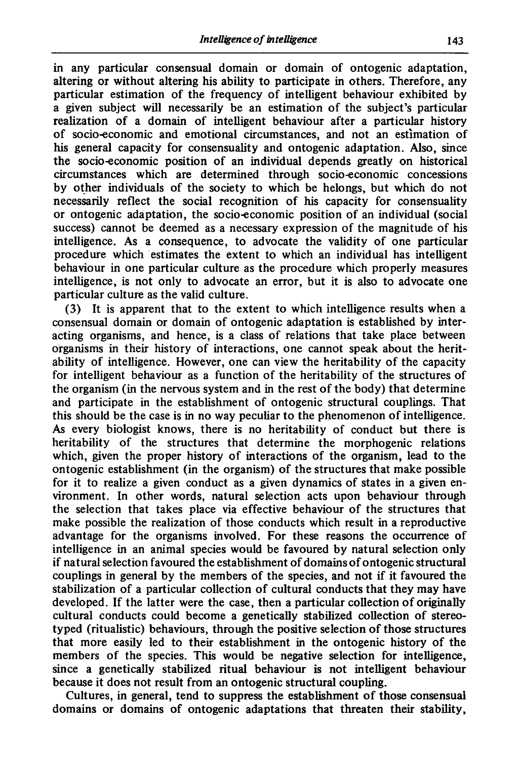in any particular consensual domain or domain of ontogenic adaptation, altering or without altering his ability to participate in others. Therefore, any particular estimation of the frequency of intelligent behaviour exhibited by a given subject will necessarily be an estimation of the subject's particular realization of a domain of intelligent behaviour after a particular history of socio-economic and emotional circumstances, and not an estlmation of his general capacity for consensuality and ontogenic adaptation. Also, since the socio-economic position of an individual depends greatly on historical circumstances which are determined through socio-economic concessions by other individuals of the society to which be helongs, but which do not necessarily reflect the social recognition of his capacity for consensuality or ontogenic adaptation, the socio-economic position of an individual (social success) cannot be deemed as a necessary expression of the magnitude of his intelligence. As a consequence, to advocate the validity of one particular procedure which estimates the extent to which an individual has intelligent behaviour in one particular culture as the procedure which properly measures intelligence, is not only to advocate an error, but it is also to advocate one particular culture as the valid culture.

(3) It is apparent that to the extent to which intelligence results when a consensual domain or domain of ontogenic adaptation is established by interacting organisms, and hence, is a class of relations that take place between organisms in their history of interactions, one cannot speak about the heritability of intelligence. However, one can view the heritability of the capacity for intelligent behaviour as a function of the heritability of the structures of the organism (in the nervous system and in the rest of the body) that determine and participate in the establishment of ontogenic structural couplings. That this should be the case is in no way peculiar to the phenomenon of intelligence. As every biologist knows, there is no heritability of conduct but there is heritability of the structures that determine the morphogenic relations which, given the proper history of interactions of the organism, lead to the ontogenic establishment (in the organism) of the structures that make possible for it to realize a given conduct as a given dynamics of states in a given environment. In other words, natural selection acts upon behaviour through the selection that takes place via effective behaviour of the structures that make possible the realization of those conducts which result in a reproductive advantage for the organisms involved. For these reasons the occurrence of intelligence in an animal species would be favoured by natural selection only if natural selection favoured the establishment of domains of ontogenic structural couplings in general by the members of the species, and not if it favoured the stabilization of a particular collection of cultural conducts that they may have developed. If the latter were the case, then a particular collection of originally cultural conducts could become a genetically stabilized collection of stereotyped (ritualistic) behaviours, through the positive selection of those structures that more easily led to their establishment in the ontogenic history of the members of the species. This would be negative selection for intelligence, since a genetically stabilized ritual behaviour is not intelligent behaviour because it does not result from an ontogenic structural coupling.

Cultures, in general, tend to suppress the establishment of those consensual domains or domains of ontogenic adaptations that threaten their stability,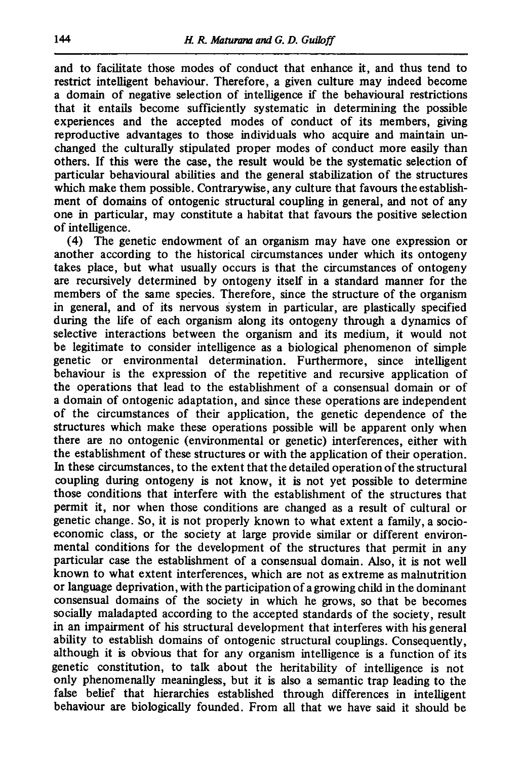and to facilitate those modes of conduct that enhance it, and thus tend to restrict intelligent behaviour. Therefore, a given culture may indeed become a domain of negative selection of intelligence if the behavioural restrictions that it entails become sufficiently systematic in determining the possible experiences and the accepted modes of conduct of its members, giving reproductive advantages to those individuals who acquire and maintain unchanged the culturally stipulated proper modes of conduct more easily than others. If this were the case, the result would be the systematic selection of particular behavioural abilities and the general stabilization of the structures which make them possible. Contrarywise, any culture that favours the establishment of domains of ontogenic structural coupling in general, and not of any one in particular, may constitute a habitat that favours the positive selection of intelligence.

(4) The genetic endowment of an organism may have one expression or another according to the historical circumstances under which its ontogeny takes place, but what usually occurs is that the circumstances of ontogeny are recursively determined by ontogeny itself in a standard manner for the members of the same species. Therefore, since the structure of the organism in general, and of its nervous system in particular, are plastically specified during the life of each organism along its ontogeny through a dynamics of selective interactions between the organism and its medium, it would not be legitimate to consider intelligence as a biological phenomenon of simple genetic or environmental determination. Furthermore, since intelligent behaviour is the expression of the repetitive and recursive application of the operations that lead to the establishment of a consensual domain or of a domain of ontogenic adaptation, and since these operations are independent of the circumstances of their application, the genetic dependence of the structures which make these operations possible will be apparent only when there are no ontogenic (environmental or genetic) interferences, either with the establishment of these structures or with the application of their operation. In these circumstances, to the extent that the detailed operation of the structural coupling during ontogeny is not know, it is not yet possible to determine those conditions that interfere with the establishment of the structures that permit it, nor when those conditions are changed as a result of cultural or genetic change. So, it is not properly known to what extent a family, a socioeconomic class, or the society at large provide similar or different environmental conditions for the development of the structures that permit in any particular case the establishment of a consensual domain. Also, it is not well known to what extent interferences, which are not as extreme as malnutrition or language deprivation, with the participation of a growing child in the dominant consensual domains of the society in which he grows, so that be becomes socially maladapted according to the accepted standards of the society, result in an impairment of his structural development that interferes with his general ability to establish domains of ontogenic structural couplings. Consequently, although it is obvious that for any organism intelligence is a function of its genetic constitution, to talk about the heritability of intelligence is not only phenomenally meaningless, but it is also a semantic trap leading to the false belief that hierarchies established through differences in intelligent behaviour are biologically founded. From all that we have said it should be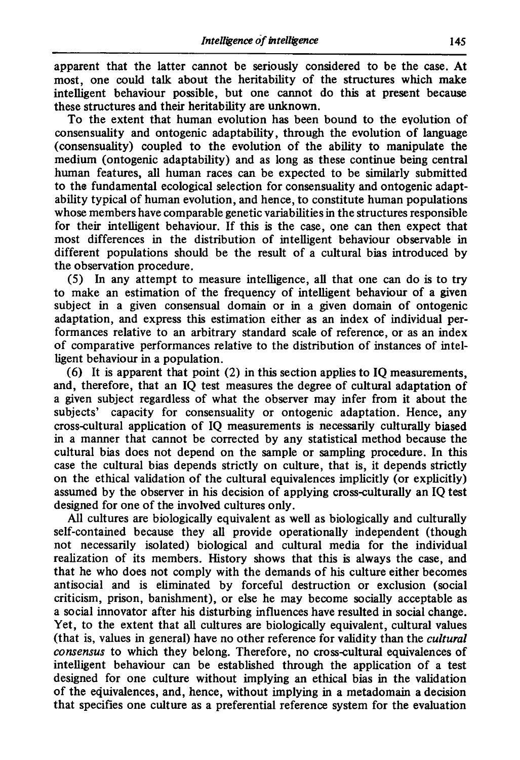apparent that the latter cannot be seriously considered to be the case. At most, one could talk about the heritability of the structures which make intelligent behaviour possible, but one cannot do this at present because these structures and their heritability are unknown.

To the extent that human evolution has been bound to the evolution of consensuality and ontogenic adaptability, through the evolution of language (consensuality) coupled to the evolution of the ability to manipulate the medium (ontogenic adaptability) and as long as these continue being central human features, all human races can be expected to be similarly submitted to the fundamental ecological selection for consensuality and ontogenic adaptability typical of human evolution, and hence, to constitute human populations whose members have comparable genetic variabilities in the structures responsible for their intelligent behaviour. If this is the case, one can then expect that most differences in the distribution of intelligent behaviour observable in different populations should be the result of a cultural bias introduced by the observation procedure.

(5) In any attempt to measure intelligence, all that one can do is to try to make an estimation of the frequency of intelligent behaviour of a given subject in a given consensual domain or in a given domain of ontogenic adaptation, and express this estimation either as an index of individual performances relative to an arbitrary standard scale of reference, or as an index of comparative performances relative to the distribution of instances of intelligent behaviour in a population.

(6) It is apparent that point (2) in this section applies to IQ measurements, and, therefore, that an IQ test measures the degree of cultural adaptation of a given subject regardless of what the observer may infer from it about the subjects' capacity for consensuality or ontogenic adaptation. Hence, any cross-cultural application of IQ measurements is necessarily culturally biased in a manner that cannot be corrected by any statistical method because the cultural bias does not depend on the sample or sampling procedure. In this case the cultural bias depends strictly on culture, that is, it depends strictly on the ethical validation of the cultural equivalences implicitly (or explicitly) assumed by the observer in his decision of applying cross-culturally an IQ test designed for one of the involved cultures only.

All cultures are biologically equivalent as well as biologically and culturally self-contained because they all provide operationally independent (though not necessarily isolated) biological and cultural media for the individual realization of its members. History shows that this is always the case, and that he who does not comply with the demands of his culture either becomes antisocial and is eliminated by forceful destruction or exclusion (social criticism, prison, banishment), or else he may become socially acceptable as a social innovator after his disturbing influences have resulted in social change. Yet, to the extent that all cultures are biologically equivalent, cultural values (that is, values in general) have no other reference for validity than the *cultural consensus* to which they belong. Therefore, no cross-cultural equivalences of intelligent behaviour can be established through the application of a test designed for one culture without implying an ethical bias in the validation of the eciuivalences, and, hence, without implying in a metadomain a decision that specifies one culture as a preferential reference system for the evaluation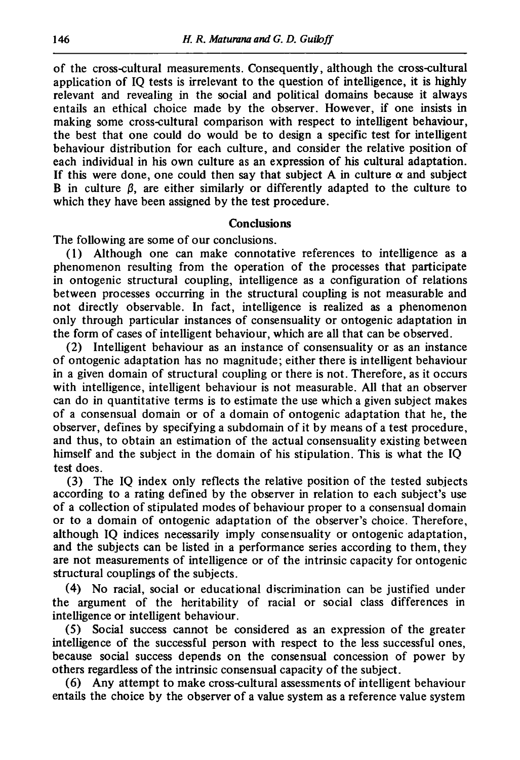of the cross-cultural measurements. Consequently, although the cross-cultural application of IQ tests is irrelevant to the question of intelligence, it is highly relevant and revealing in the social and political domains because it always entails an ethical choice made by the observer. However, if one insists in making some cross-cultural comparison with respect to intelligent behaviour, the best that one could do would be to design a specific test for intelligent behaviour distribution for each culture, and consider the relative position of each individual in his own culture as an expression of his cultural adaptation. If this were done, one could then say that subject A in culture  $\alpha$  and subject B in culture  $\beta$ , are either similarly or differently adapted to the culture to which they have been assigned by the test procedure.

## **Conclusions**

The following are some of our conclusions.

(1) Although one can make connotative references to intelligence as a phenomenon resulting from the operation of the processes that participate in ontogenic structural coupling, intelligence as a configuration of relations between processes occurring in the structural coupling is not measurable and not directly observable. In fact, intelligence is realized as a phenomenon only through particular instances of consensuality or ontogenic adaptation in the form of cases of intelligent behaviour, which are all that can be observed.

(2) Intelligent behaviour as an instance of consensuality or as an instance of ontogenic adaptation has no magnitude; either there is intelligent behaviour in a given domain of structural coupling or there is not. Therefore, as it occurs with intelligence, intelligent behaviour is not measurable. All that an observer can do in quantitative terms is to estimate the use which a given subject makes of a consensual domain or of a domain of ontogenic adaptation that he, the observer, defines by specifying a subdomain of it by means of a test procedure, and thus, to obtain an estimation of the actual consensuality existing between himself and the subject in the domain of his stipulation. This is what the IQ test does.

(3) The IQ index only reflects the relative position of the tested subjects according to a rating defined by the observer in relation to each subject's use of a collection of stipulated modes of behaviour proper to a consensual domain or to a domain of ontogenic adaptation of the observer's choice. Therefore, although IQ indices necessarily imply consensuality or ontogenic adaptation, and the subjects can be listed in a performance series according to them, they are not measurements of intelligence or of the intrinsic capacity for ontogenic structural couplings of the subjects.

(4) No racial, social or educational discrimination can be justified under the argument of the heritability of racial or social class differences in intelligence or intelligent behaviour.

(5) Social success cannot be considered as an expression of the greater intelligence of the successful person with respect to the less successful ones, because social success depends on the consensual concession of power by others regardless of the intrinsic consensual capacity of the subject.

(6) Any attempt to make cross-cultural assessments of intelligent behaviour entails the choice by the observer of a value system as a reference value system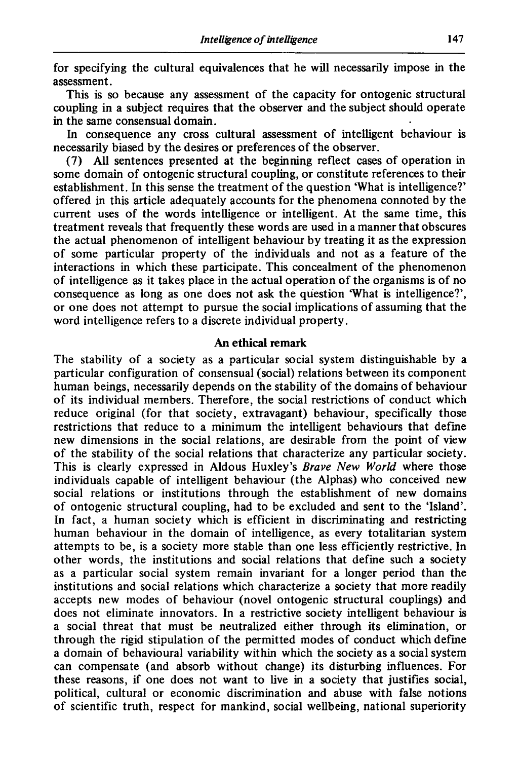for specifying the cultural equivalences that he will necessarily impose in the assessment.

This is so because any assessment of the capacity for ontogenic structural coupling in a subject requires that the observer and the subject should operate in the same consensual domain.

In consequence any cross cultural assessment of intelligent behaviour is necessarily biased by the desires or preferences of the observer.

(7) All sentences presented at the beginning reflect cases of operation in some domain of ontogenic structural coupling, or constitute references to their establishment. In this sense the treatment of the question 'What is intelligence?' offered in this article adequately accounts for the phenomena connoted by the current uses of the words intelligence or intelligent. At the same time, this treatment reveals that frequently these words are used in a manner that obscures the actual phenomenon of intelligent behaviour by treating it as the expression of some particular property of the individuals and not as a feature of the interactions in which these participate. This concealment of the phenomenon of intelligence as it takes place in the actual operation of the organisms is of no consequence as long as one does not ask the question 'What is intelligence?', or one does not attempt to pursue the social implications of assuming that the word intelligence refers to a discrete individual property.

#### An ethical remark

The stability of a society as a particular social system distinguishable by a particular configuration of consensual (social) relations between its component human beings, necessarily depends on the stability of the domains of behaviour of its individual members. Therefore, the social restrictions of conduct which reduce original (for that society, extravagant) behaviour, specifically those restrictions that reduce to a minimum the intelligent behaviours that define new dimensions in the social relations, are desirable from the point of view of the stability of the social relations that characterize any particular society. This is clearly expressed in Aldous Huxley's *Brave New World* where those individuals capable of intelligent behaviour (the Alphas) who conceived new social relations or institutions through the establishment of new domains of ontogenic structural coupling, had to be excluded and sent to the 'Island'. In fact, a human society which is efficient in discriminating and restricting human behaviour in the domain of intelligence, as every totalitarian system attempts to be, is a society more stable than one less efficiently restrictive. In other words, the institutions and social relations that define such a society as a particular social system remain invariant for a longer period than the institutions and social relations which characterize a society that more readily accepts new modes of behaviour (novel ontogenic structural couplings) and does not eliminate innovators. In a restrictive society intelligent behaviour is a social threat that must be neutralized either through its elimination, or through the rigid stipulation of the permitted modes of conduct which define a domain of behavioural variability within which the society as a social system can compensate (and absorb without change) its disturbing influences. For these reasons, if one does not want to live in a society that justifies social, political, cultural or economic discrimination and abuse with false notions of scientific truth, respect for mankind, social wellbeing, national superiority